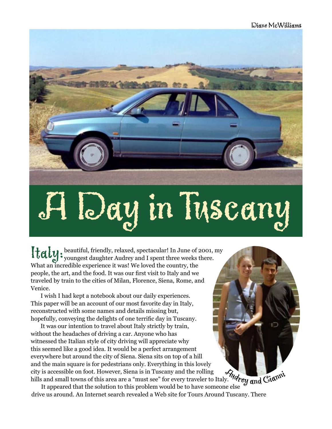

Italy: beautiful, friendly, relaxed, spectacular! In June of 2001, my<br>youngest daughter Audrey and I spent three weeks there. What an incredible experience it was! We loved the country, the people, the art, and the food. It was our first visit to Italy and we traveled by train to the cities of Milan, Florence, Siena, Rome, and Venice.

I wish I had kept a notebook about our daily experiences. This paper will be an account of our most favorite day in Italy, reconstructed with some names and details missing but, hopefully, conveying the delights of one terrific day in Tuscany.

It was our intention to travel about Italy strictly by train, without the headaches of driving a car. Anyone who has witnessed the Italian style of city driving will appreciate why this seemed like a good idea. It would be a perfect arrangement everywhere but around the city of Siena. Siena sits on top of a hill and the main square is for pedestrians only. Everything in this lovely city is accessible on foot. However, Siena is in Tuscany and the rolling hills and small towns of this area are a "must see" for every traveler to Italy.

It appeared that the solution to this problem would be to have someone else drive us around. An Internet search revealed a Web site for Tours Around Tuscany. There *Audrey* and Gianni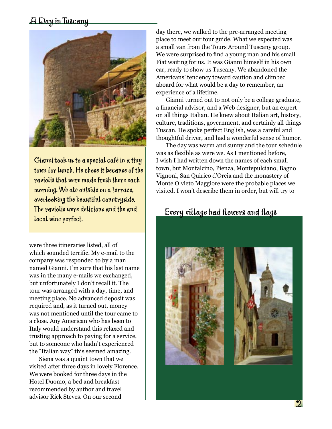

Gianni took us to a special café in a tiny town for lunch. He chose it because of the raviolis that were made fresh there each morning. We ate outside on a terrace, overlooking the beautiful countryside. The raviolis were delicious and the and local wine perfect.

were three itineraries listed, all of which sounded terrific. My e-mail to the company was responded to by a man named Gianni. I'm sure that his last name was in the many e-mails we exchanged, but unfortunately I don't recall it. The tour was arranged with a day, time, and meeting place. No advanced deposit was required and, as it turned out, money was not mentioned until the tour came to a close. Any American who has been to Italy would understand this relaxed and trusting approach to paying for a service, but to someone who hadn't experienced the "Italian way" this seemed amazing.

Siena was a quaint town that we visited after three days in lovely Florence. We were booked for three days in the Hotel Duomo, a bed and breakfast recommended by author and travel advisor Rick Steves. On our second

day there, we walked to the pre-arranged meeting place to meet our tour guide. What we expected was a small van from the Tours Around Tuscany group. We were surprised to find a young man and his small Fiat waiting for us. It was Gianni himself in his own car, ready to show us Tuscany. We abandoned the Americans' tendency toward caution and climbed aboard for what would be a day to remember, an experience of a lifetime.

Gianni turned out to not only be a college graduate, a financial advisor, and a Web designer, but an expert on all things Italian. He knew about Italian art, history, culture, traditions, government, and certainly all things Tuscan. He spoke perfect English, was a careful and thoughtful driver, and had a wonderful sense of humor.

The day was warm and sunny and the tour schedule was as flexible as were we. As I mentioned before, I wish I had written down the names of each small town, but Montalcino, Pienza, Montepulciano, Bagno Vignoni, San Quirico d'Orcia and the monastery of Monte Olvieto Maggiore were the probable places we visited. I won't describe them in order, but will try to

### Every village had flowers and flags

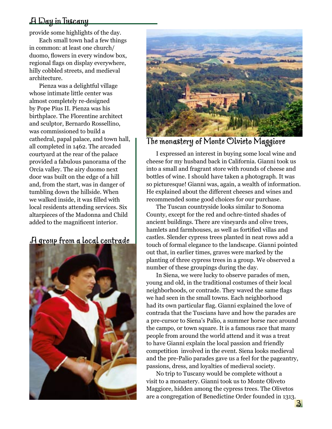provide some highlights of the day.

Each small town had a few things in common: at least one church/ duomo, flowers in every window box, regional flags on display everywhere, hilly cobbled streets, and medieval architecture.

Pienza was a delightful village whose intimate little center was almost completely re-designed by Pope Pius II. Pienza was his birthplace. The Florentine architect and sculptor, Bernardo Rossellino, was commissioned to build a cathedral, papal palace, and town hall, all completed in 1462. The arcaded courtyard at the rear of the palace provided a fabulous panorama of the Orcia valley. The airy duomo next door was built on the edge of a hill and, from the start, was in danger of tumbling down the hillside. When we walked inside, it was filled with local residents attending services. Six altarpieces of the Madonna and Child added to the magnificent interior.

# A group from a local contrade





The monastery of Monte Olvieto Maggiore

I expressed an interest in buying some local wine and cheese for my husband back in California. Gianni took us into a small and fragrant store with rounds of cheese and bottles of wine. I should have taken a photograph. It was so picturesque! Gianni was, again, a wealth of information. He explained about the different cheeses and wines and recommended some good choices for our purchase.

The Tuscan countryside looks similar to Sonoma County, except for the red and ochre-tinted shades of ancient buildings. There are vineyards and olive trees, hamlets and farmhouses, as well as fortified villas and castles. Slender cypress trees planted in neat rows add a touch of formal elegance to the landscape. Gianni pointed out that, in earlier times, graves were marked by the planting of three cypress trees in a group. We observed a number of these groupings during the day.

In Siena, we were lucky to observe parades of men, young and old, in the traditional costumes of their local neighborhoods, or contrade. They waved the same flags we had seen in the small towns. Each neighborhood had its own particular flag. Gianni explained the love of contrada that the Tuscians have and how the parades are a pre-cursor to Siena's Palio, a summer horse race around the campo, or town square. It is a famous race that many people from around the world attend and it was a treat to have Gianni explain the local passion and friendly competition involved in the event. Siena looks medieval and the pre-Palio parades gave us a feel for the pageantry, passions, dress, and loyalties of medieval society.

No trip to Tuscany would be complete without a visit to a monastery. Gianni took us to Monte Oliveto Maggiore, hidden among the cypress trees. The Olivetos are a congregation of Benedictine Order founded in 1313.